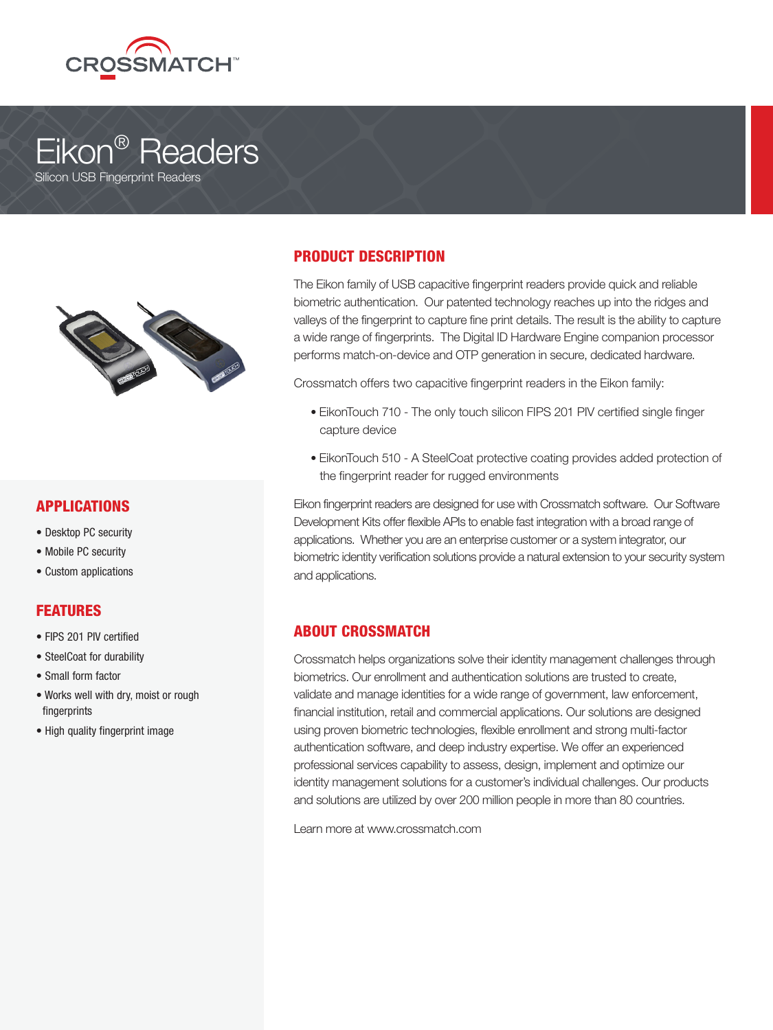

# Eikon® Readers Silicon USB Fingerprint Readers



### APPLICATIONS

- Desktop PC security
- Mobile PC security
- Custom applications

# FEATURES

- FIPS 201 PIV certified
- SteelCoat for durability
- Small form factor
- Works well with dry, moist or rough fingerprints
- High quality fingerprint image

# PRODUCT DESCRIPTION

The Eikon family of USB capacitive fingerprint readers provide quick and reliable biometric authentication. Our patented technology reaches up into the ridges and valleys of the fingerprint to capture fine print details. The result is the ability to capture a wide range of fingerprints. The Digital ID Hardware Engine companion processor performs match-on-device and OTP generation in secure, dedicated hardware.

Crossmatch offers two capacitive fingerprint readers in the Eikon family:

- EikonTouch 710 The only touch silicon FIPS 201 PIV certified single finger capture device
- EikonTouch 510 A SteelCoat protective coating provides added protection of the fingerprint reader for rugged environments

Eikon fingerprint readers are designed for use with Crossmatch software. Our Software Development Kits offer flexible APIs to enable fast integration with a broad range of applications. Whether you are an enterprise customer or a system integrator, our biometric identity verification solutions provide a natural extension to your security system and applications.

# ABOUT CROSSMATCH

Crossmatch helps organizations solve their identity management challenges through biometrics. Our enrollment and authentication solutions are trusted to create, validate and manage identities for a wide range of government, law enforcement, financial institution, retail and commercial applications. Our solutions are designed using proven biometric technologies, flexible enrollment and strong multi-factor authentication software, and deep industry expertise. We offer an experienced professional services capability to assess, design, implement and optimize our identity management solutions for a customer's individual challenges. Our products and solutions are utilized by over 200 million people in more than 80 countries.

Learn more at www.crossmatch.com